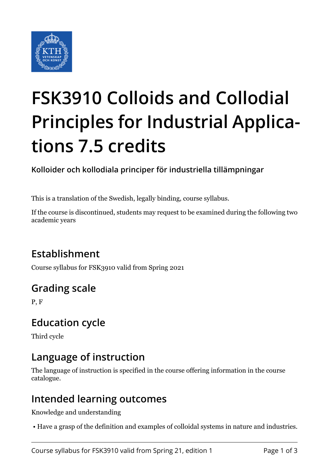

# **FSK3910 Colloids and Collodial Principles for Industrial Applications 7.5 credits**

**Kolloider och kollodiala principer för industriella tillämpningar**

This is a translation of the Swedish, legally binding, course syllabus.

If the course is discontinued, students may request to be examined during the following two academic years

# **Establishment**

Course syllabus for FSK3910 valid from Spring 2021

# **Grading scale**

P, F

## **Education cycle**

Third cycle

## **Language of instruction**

The language of instruction is specified in the course offering information in the course catalogue.

#### **Intended learning outcomes**

Knowledge and understanding

• Have a grasp of the definition and examples of colloidal systems in nature and industries.

Course syllabus for FSK3910 valid from Spring 21, edition 1 Page 1 of 3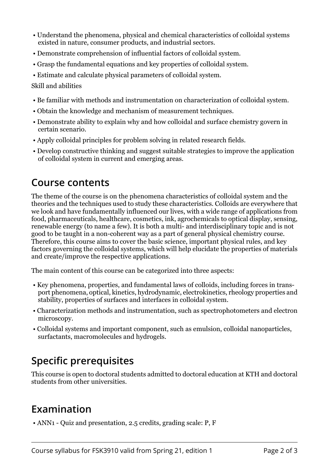- Understand the phenomena, physical and chemical characteristics of colloidal systems existed in nature, consumer products, and industrial sectors.
- Demonstrate comprehension of influential factors of colloidal system.
- Grasp the fundamental equations and key properties of colloidal system.
- Estimate and calculate physical parameters of colloidal system.

Skill and abilities

- Be familiar with methods and instrumentation on characterization of colloidal system.
- Obtain the knowledge and mechanism of measurement techniques.
- Demonstrate ability to explain why and how colloidal and surface chemistry govern in certain scenario.
- Apply colloidal principles for problem solving in related research fields.
- Develop constructive thinking and suggest suitable strategies to improve the application of colloidal system in current and emerging areas.

#### **Course contents**

The theme of the course is on the phenomena characteristics of colloidal system and the theories and the techniques used to study these characteristics. Colloids are everywhere that we look and have fundamentally influenced our lives, with a wide range of applications from food, pharmaceuticals, healthcare, cosmetics, ink, agrochemicals to optical display, sensing, renewable energy (to name a few). It is both a multi- and interdisciplinary topic and is not good to be taught in a non-coherent way as a part of general physical chemistry course. Therefore, this course aims to cover the basic science, important physical rules, and key factors governing the colloidal systems, which will help elucidate the properties of materials and create/improve the respective applications.

The main content of this course can be categorized into three aspects:

- Key phenomena, properties, and fundamental laws of colloids, including forces in transport phenomena, optical, kinetics, hydrodynamic, electrokinetics, rheology properties and stability, properties of surfaces and interfaces in colloidal system.
- Characterization methods and instrumentation, such as spectrophotometers and electron microscopy.
- Colloidal systems and important component, such as emulsion, colloidal nanoparticles, surfactants, macromolecules and hydrogels.

## **Specific prerequisites**

This course is open to doctoral students admitted to doctoral education at KTH and doctoral students from other universities.

#### **Examination**

• ANN1 - Quiz and presentation, 2.5 credits, grading scale: P, F